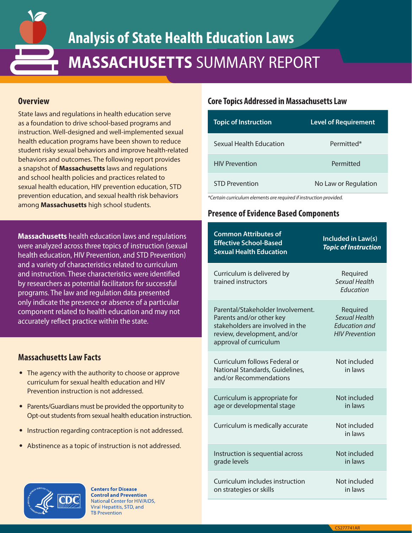

# **Analysis of State Health Education Laws MASSACHUSETTS** SUMMARY REPORT

### **Overview**

State laws and regulations in health education serve as a foundation to drive school-based programs and instruction. Well-designed and well-implemented sexual health education programs have been shown to reduce student risky sexual behaviors and improve health-related behaviors and outcomes. The following report provides a snapshot of **Massachusetts** laws and regulations and school health policies and practices related to sexual health education, HIV prevention education, STD prevention education, and sexual health risk behaviors among **Massachusetts** high school students.

**Massachusetts** health education laws and regulations were analyzed across three topics of instruction (sexual health education, HIV Prevention, and STD Prevention) and a variety of characteristics related to curriculum and instruction. These characteristics were identified by researchers as potential facilitators for successful programs. The law and regulation data presented only indicate the presence or absence of a particular component related to health education and may not accurately reflect practice within the state.

## **Massachusetts Law Facts**

- The agency with the authority to choose or approve curriculum for sexual health education and HIV Prevention instruction is not addressed.
- Parents/Guardians must be provided the opportunity to Opt-out students from sexual health education instruction.
- Instruction regarding contraception is not addressed.
- Abstinence as a topic of instruction is not addressed.



**Centers for Disease Control and Prevention National Center for HIV/AIDS,** Viral Hepatitis, STD, and **FB Prevention** 

#### **Core Topics Addressed in Massachusetts Law**

| <b>Topic of Instruction</b> | <b>Level of Requirement</b> |
|-----------------------------|-----------------------------|
| Sexual Health Education     | Permitted*                  |
| <b>HIV Prevention</b>       | Permitted                   |
| <b>STD Prevention</b>       | No Law or Regulation        |

*\*Certain curriculum elements are required if instruction provided.*

# **Presence of Evidence Based Components**

| <b>Common Attributes of</b><br><b>Effective School-Based</b><br><b>Sexual Health Education</b>                                                             | Included in Law(s)<br><b>Topic of Instruction</b>                                 |
|------------------------------------------------------------------------------------------------------------------------------------------------------------|-----------------------------------------------------------------------------------|
| Curriculum is delivered by<br>trained instructors                                                                                                          | Required<br>Sexual Health<br><b>Fducation</b>                                     |
| Parental/Stakeholder Involvement.<br>Parents and/or other key<br>stakeholders are involved in the<br>review, development, and/or<br>approval of curriculum | Required<br><b>Sexual Health</b><br><b>Education and</b><br><b>HIV Prevention</b> |
| Curriculum follows Federal or<br>National Standards, Guidelines,<br>and/or Recommendations                                                                 | Not included<br>in laws                                                           |
| Curriculum is appropriate for<br>age or developmental stage                                                                                                | Not included<br>in laws                                                           |
| Curriculum is medically accurate                                                                                                                           | Not included<br>in laws                                                           |
| Instruction is sequential across<br>grade levels                                                                                                           | Not included<br>in laws                                                           |
| Curriculum includes instruction<br>on strategies or skills                                                                                                 | Not included<br>in laws                                                           |